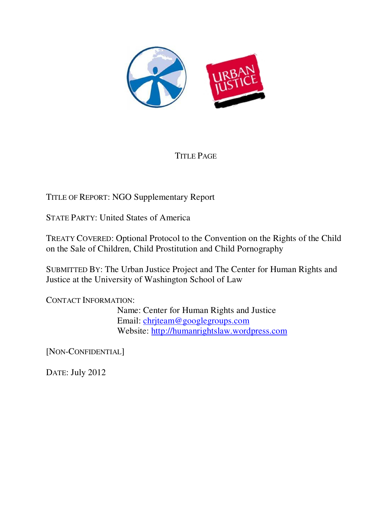

# TITLE PAGE

TITLE OF REPORT: NGO Supplementary Report

STATE PARTY: United States of America

TREATY COVERED: Optional Protocol to the Convention on the Rights of the Child on the Sale of Children, Child Prostitution and Child Pornography

SUBMITTED BY: The Urban Justice Project and The Center for Human Rights and Justice at the University of Washington School of Law

CONTACT INFORMATION:

 Name: Center for Human Rights and Justice Email: chrjteam@googlegroups.com Website: http://humanrightslaw.wordpress.com

[NON-CONFIDENTIAL]

DATE: July 2012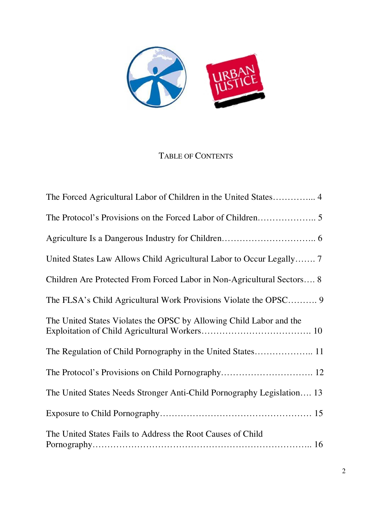

# TABLE OF CONTENTS

| United States Law Allows Child Agricultural Labor to Occur Legally 7   |
|------------------------------------------------------------------------|
| Children Are Protected From Forced Labor in Non-Agricultural Sectors 8 |
|                                                                        |
| The United States Violates the OPSC by Allowing Child Labor and the    |
|                                                                        |
|                                                                        |
| The United States Needs Stronger Anti-Child Pornography Legislation 13 |
|                                                                        |
| The United States Fails to Address the Root Causes of Child            |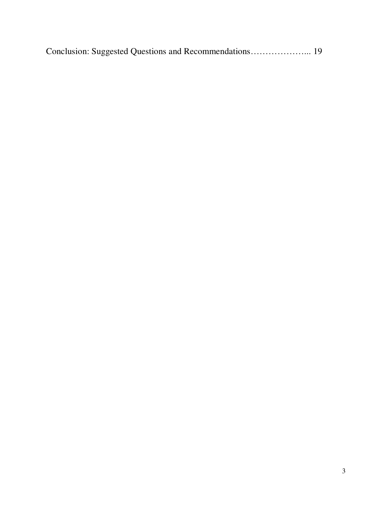|--|--|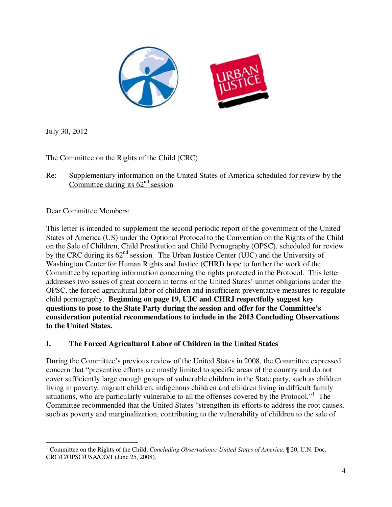

July 30, 2012

The Committee on the Rights of the Child (CRC)

Re: Supplementary information on the United States of America scheduled for review by the Committee during its  $62<sup>nd</sup>$  session

Dear Committee Members:

This letter is intended to supplement the second periodic report of the government of the United States of America (US) under the Optional Protocol to the Convention on the Rights of the Child on the Sale of Children, Child Prostitution and Child Pornography (OPSC), scheduled for review by the CRC during its  $62<sup>nd</sup>$  session. The Urban Justice Center (UJC) and the University of Washington Center for Human Rights and Justice (CHRJ) hope to further the work of the Committee by reporting information concerning the rights protected in the Protocol. This letter addresses two issues of great concern in terms of the United States' unmet obligations under the OPSC, the forced agricultural labor of children and insufficient preventative measures to regulate child pornography. **Beginning on page 19, UJC and CHRJ respectfully suggest key questions to pose to the State Party during the session and offer for the Committee's consideration potential recommendations to include in the 2013 Concluding Observations to the United States.** 

# **I. The Forced Agricultural Labor of Children in the United States**

During the Committee's previous review of the United States in 2008, the Committee expressed concern that "preventive efforts are mostly limited to specific areas of the country and do not cover sufficiently large enough groups of vulnerable children in the State party, such as children living in poverty, migrant children, indigenous children and children living in difficult family situations, who are particularly vulnerable to all the offenses covered by the Protocol."<sup>1</sup> The Committee recommended that the United States "strengthen its efforts to address the root causes, such as poverty and marginalization, contributing to the vulnerability of children to the sale of

<sup>|&</sup>lt;br>|<br>| <sup>1</sup> Committee on the Rights of the Child, *Concluding Observations: United States of America*,  $\P$  20, U.N. Doc. CRC/C/OPSC/USA/CO/1 (June 25, 2008).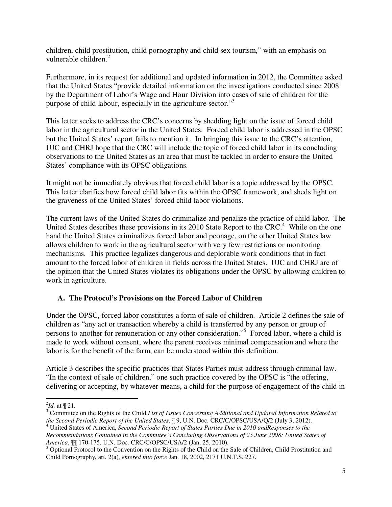children, child prostitution, child pornography and child sex tourism," with an emphasis on vulnerable children.<sup>2</sup>

Furthermore, in its request for additional and updated information in 2012, the Committee asked that the United States "provide detailed information on the investigations conducted since 2008 by the Department of Labor's Wage and Hour Division into cases of sale of children for the purpose of child labour, especially in the agriculture sector."3

This letter seeks to address the CRC's concerns by shedding light on the issue of forced child labor in the agricultural sector in the United States. Forced child labor is addressed in the OPSC but the United States' report fails to mention it. In bringing this issue to the CRC's attention, UJC and CHRJ hope that the CRC will include the topic of forced child labor in its concluding observations to the United States as an area that must be tackled in order to ensure the United States' compliance with its OPSC obligations.

It might not be immediately obvious that forced child labor is a topic addressed by the OPSC. This letter clarifies how forced child labor fits within the OPSC framework, and sheds light on the graveness of the United States' forced child labor violations.

The current laws of the United States do criminalize and penalize the practice of child labor. The United States describes these provisions in its 2010 State Report to the CRC.<sup>4</sup> While on the one hand the United States criminalizes forced labor and peonage, on the other United States law allows children to work in the agricultural sector with very few restrictions or monitoring mechanisms. This practice legalizes dangerous and deplorable work conditions that in fact amount to the forced labor of children in fields across the United States. UJC and CHRJ are of the opinion that the United States violates its obligations under the OPSC by allowing children to work in agriculture.

# **A. The Protocol's Provisions on the Forced Labor of Children**

Under the OPSC, forced labor constitutes a form of sale of children. Article 2 defines the sale of children as "any act or transaction whereby a child is transferred by any person or group of persons to another for remuneration or any other consideration."<sup>5</sup> Forced labor, where a child is made to work without consent, where the parent receives minimal compensation and where the labor is for the benefit of the farm, can be understood within this definition.

Article 3 describes the specific practices that States Parties must address through criminal law. "In the context of sale of children," one such practice covered by the OPSC is "the offering, delivering or accepting, by whatever means, a child for the purpose of engagement of the child in

 $\frac{2Id}{d}$  at  $\P$  21.

Committee on the Rights of the Child,*List of Issues Concerning Additional and Updated Information Related to the Second Periodic Report of the United States*, ¶ 9, U.N. Doc. CRC/C/OPSC/USA/Q/2 (July 3, 2012). 4

United States of America, *Second Periodic Report of States Parties Due in 2010 andResponses to the* 

*Recommendations Contained in the Committee's Concluding Observations of 25 June 2008: United States of* 

America,  $\mathbb{II}$  170-175, U.N. Doc. CRC/C/OPSC/USA/2 (Jan. 25, 2010).<br><sup>5</sup> Optional Protocol to the Convention on the Rights of the Child on the Sale of Children, Child Prostitution and Child Pornography, art. 2(a), *entered into force* Jan. 18, 2002, 2171 U.N.T.S. 227.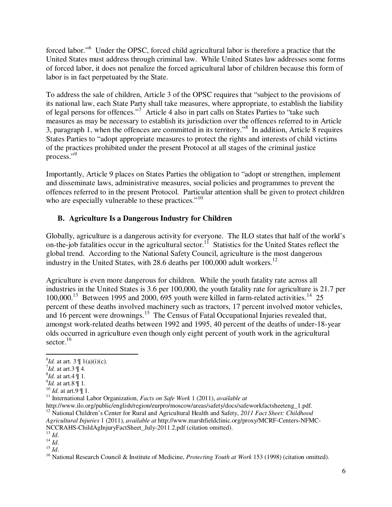forced labor."<sup>6</sup> Under the OPSC, forced child agricultural labor is therefore a practice that the United States must address through criminal law. While United States law addresses some forms of forced labor, it does not penalize the forced agricultural labor of children because this form of labor is in fact perpetuated by the State.

To address the sale of children, Article 3 of the OPSC requires that "subject to the provisions of its national law, each State Party shall take measures, where appropriate, to establish the liability of legal persons for offences."<sup>7</sup> Article 4 also in part calls on States Parties to "take such measures as may be necessary to establish its jurisdiction over the offences referred to in Article 3, paragraph 1, when the offences are committed in its territory."<sup>8</sup> In addition, Article 8 requires States Parties to "adopt appropriate measures to protect the rights and interests of child victims of the practices prohibited under the present Protocol at all stages of the criminal justice process."9

Importantly, Article 9 places on States Parties the obligation to "adopt or strengthen, implement and disseminate laws, administrative measures, social policies and programmes to prevent the offences referred to in the present Protocol. Particular attention shall be given to protect children who are especially vulnerable to these practices."<sup>10</sup>

# **B. Agriculture Is a Dangerous Industry for Children**

Globally, agriculture is a dangerous activity for everyone. The ILO states that half of the world's on-the-job fatalities occur in the agricultural sector.<sup>11</sup> Statistics for the United States reflect the global trend. According to the National Safety Council, agriculture is the most dangerous industry in the United States, with 28.6 deaths per 100,000 adult workers.<sup>12</sup>

Agriculture is even more dangerous for children. While the youth fatality rate across all industries in the United States is 3.6 per 100,000, the youth fatality rate for agriculture is 21.7 per  $100,000$ <sup>13</sup> Between 1995 and 2000, 695 youth were killed in farm-related activities.<sup>14</sup> 25 percent of these deaths involved machinery such as tractors, 17 percent involved motor vehicles, and 16 percent were drownings.<sup>15</sup> The Census of Fatal Occupational Injuries revealed that, amongst work-related deaths between 1992 and 1995, 40 percent of the deaths of under-18-year olds occurred in agriculture even though only eight percent of youth work in the agricultural sector. $16$ 

 $\overline{\phantom{a}}$ 

<sup>6</sup> *Id.* at art. 3 ¶ 1(a)(i)(c). 7

 $^7$ *Id.* at art.3 ¶ 4.

*<sup>&</sup>lt;sup>8</sup>Id.* at art.4 \le 1.

 $\mathcal{I}$ d. at art.8 ¶ 1.

*Id.* at art.9 ¶ 1.<br><sup>10</sup> *Id.* at art.9 ¶ 1.<br><sup>11</sup> International Labor Organization, *Facts on Safe Work* 1 (2011), *available at* <br>http://www.ilo.org/public/english/region/eurpro/moscow/areas/safety/docs/safeworkfactsheete <sup>12</sup> National Children's Center for Rural and Agricultural Health and Safety, 2011 Fact Sheet: Childhood

*Agricultural Injuries* 1 (2011), *available at* http://www.marshfieldclinic.org/proxy/MCRF-Centers-NFMC-

<sup>&</sup>lt;sup>13</sup> *Id.*<br><sup>14</sup> *Id.*<br><sup>14</sup> *Id.*<br><sup>15</sup> *Id.*<br><sup>16</sup> National Research Council & Institute of Medicine, *Protecting Youth at Work* 153 (1998) (citation omitted).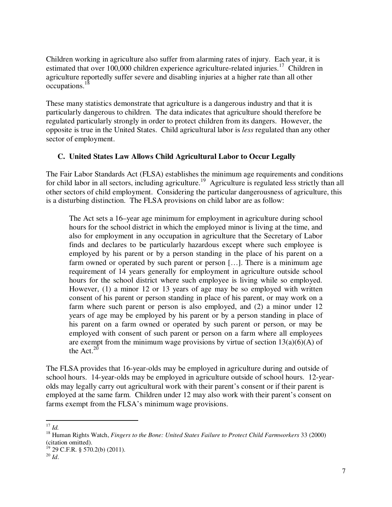Children working in agriculture also suffer from alarming rates of injury. Each year, it is estimated that over 100,000 children experience agriculture-related injuries.<sup>17</sup> Children in agriculture reportedly suffer severe and disabling injuries at a higher rate than all other occupations.<sup>18</sup>

These many statistics demonstrate that agriculture is a dangerous industry and that it is particularly dangerous to children. The data indicates that agriculture should therefore be regulated particularly strongly in order to protect children from its dangers. However, the opposite is true in the United States. Child agricultural labor is *less* regulated than any other sector of employment.

### **C. United States Law Allows Child Agricultural Labor to Occur Legally**

The Fair Labor Standards Act (FLSA) establishes the minimum age requirements and conditions for child labor in all sectors, including agriculture.<sup>19</sup> Agriculture is regulated less strictly than all other sectors of child employment. Considering the particular dangerousness of agriculture, this is a disturbing distinction. The FLSA provisions on child labor are as follow:

The Act sets a 16–year age minimum for employment in agriculture during school hours for the school district in which the employed minor is living at the time, and also for employment in any occupation in agriculture that the Secretary of Labor finds and declares to be particularly hazardous except where such employee is employed by his parent or by a person standing in the place of his parent on a farm owned or operated by such parent or person […]. There is a minimum age requirement of 14 years generally for employment in agriculture outside school hours for the school district where such employee is living while so employed. However, (1) a minor 12 or 13 years of age may be so employed with written consent of his parent or person standing in place of his parent, or may work on a farm where such parent or person is also employed, and (2) a minor under 12 years of age may be employed by his parent or by a person standing in place of his parent on a farm owned or operated by such parent or person, or may be employed with consent of such parent or person on a farm where all employees are exempt from the minimum wage provisions by virtue of section  $13(a)(6)(A)$  of the Act. $20$ 

The FLSA provides that 16-year-olds may be employed in agriculture during and outside of school hours. 14-year-olds may be employed in agriculture outside of school hours. 12-yearolds may legally carry out agricultural work with their parent's consent or if their parent is employed at the same farm. Children under 12 may also work with their parent's consent on farms exempt from the FLSA's minimum wage provisions.

 $\overline{a}$ <sup>17</sup> *Id.*

<sup>18</sup> Human Rights Watch, *Fingers to the Bone: United States Failure to Protect Child Farmworkers* 33 (2000) (citation omitted).

 $19$  29 C.F.R. § 570.2(b) (2011).

 $20\overline{1/d}$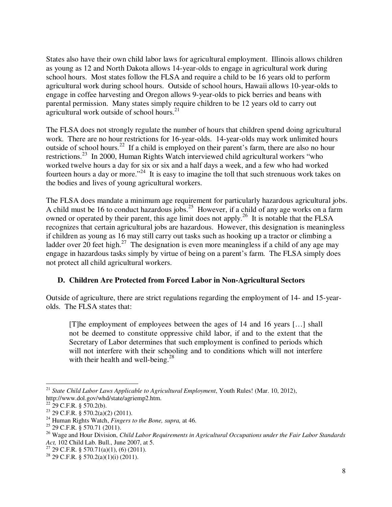States also have their own child labor laws for agricultural employment. Illinois allows children as young as 12 and North Dakota allows 14-year-olds to engage in agricultural work during school hours. Most states follow the FLSA and require a child to be 16 years old to perform agricultural work during school hours. Outside of school hours, Hawaii allows 10-year-olds to engage in coffee harvesting and Oregon allows 9-year-olds to pick berries and beans with parental permission. Many states simply require children to be 12 years old to carry out agricultural work outside of school hours. $21$ 

The FLSA does not strongly regulate the number of hours that children spend doing agricultural work. There are no hour restrictions for 16-year-olds. 14-year-olds may work unlimited hours outside of school hours.22 If a child is employed on their parent's farm, there are also no hour restrictions.23 In 2000, Human Rights Watch interviewed child agricultural workers "who worked twelve hours a day for six or six and a half days a week, and a few who had worked fourteen hours a day or more."<sup>24</sup> It is easy to imagine the toll that such strenuous work takes on the bodies and lives of young agricultural workers.

The FLSA does mandate a minimum age requirement for particularly hazardous agricultural jobs. A child must be 16 to conduct hazardous jobs.<sup>25</sup> However, if a child of any age works on a farm owned or operated by their parent, this age limit does not apply.<sup>26</sup> It is notable that the FLSA recognizes that certain agricultural jobs are hazardous. However, this designation is meaningless if children as young as 16 may still carry out tasks such as hooking up a tractor or climbing a ladder over 20 feet high.<sup>27</sup> The designation is even more meaningless if a child of any age may engage in hazardous tasks simply by virtue of being on a parent's farm. The FLSA simply does not protect all child agricultural workers.

# **D. Children Are Protected from Forced Labor in Non-Agricultural Sectors**

Outside of agriculture, there are strict regulations regarding the employment of 14- and 15-yearolds. The FLSA states that:

[T]he employment of employees between the ages of 14 and 16 years […] shall not be deemed to constitute oppressive child labor, if and to the extent that the Secretary of Labor determines that such employment is confined to periods which will not interfere with their schooling and to conditions which will not interfere with their health and well-being. $28$ 

<sup>21</sup> *State Child Labor Laws Applicable to Agricultural Employment*, Youth Rules! (Mar. 10, 2012), http://www.dol.gov/whd/state/agriemp2.htm.

 $22\,$  29 C.F.R. § 570.2(b).

<sup>23 29</sup> C.F.R. § 570.2(a)(2) (2011).

<sup>24</sup> Human Rights Watch, *Fingers to the Bone, supra,* at 46.

<sup>25 29</sup> C.F.R. § 570.71 (2011).

<sup>26</sup> Wage and Hour Division, *Child Labor Requirements in Agricultural Occupations under the Fair Labor Standards Act*, 102 Child Lab. Bull., June 2007, at 5.<br><sup>27</sup> 29 C.F.R. § 570.71(a)(1), (6) (2011).

<sup>&</sup>lt;sup>28</sup> 29 C.F.R. § 570.2(a)(1)(i) (2011).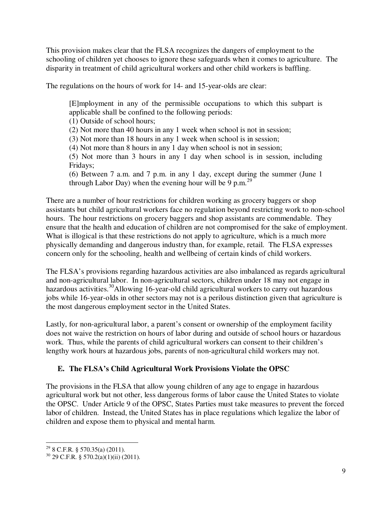This provision makes clear that the FLSA recognizes the dangers of employment to the schooling of children yet chooses to ignore these safeguards when it comes to agriculture. The disparity in treatment of child agricultural workers and other child workers is baffling.

The regulations on the hours of work for 14- and 15-year-olds are clear:

[E]mployment in any of the permissible occupations to which this subpart is applicable shall be confined to the following periods:

(1) Outside of school hours;

(2) Not more than 40 hours in any 1 week when school is not in session;

(3) Not more than 18 hours in any 1 week when school is in session;

(4) Not more than 8 hours in any 1 day when school is not in session;

(5) Not more than 3 hours in any 1 day when school is in session, including Fridays;

(6) Between 7 a.m. and 7 p.m. in any 1 day, except during the summer (June 1 through Labor Day) when the evening hour will be 9 p.m.<sup>29</sup>

There are a number of hour restrictions for children working as grocery baggers or shop assistants but child agricultural workers face no regulation beyond restricting work to non-school hours. The hour restrictions on grocery baggers and shop assistants are commendable. They ensure that the health and education of children are not compromised for the sake of employment. What is illogical is that these restrictions do not apply to agriculture, which is a much more physically demanding and dangerous industry than, for example, retail. The FLSA expresses concern only for the schooling, health and wellbeing of certain kinds of child workers.

The FLSA's provisions regarding hazardous activities are also imbalanced as regards agricultural and non-agricultural labor. In non-agricultural sectors, children under 18 may not engage in hazardous activities.<sup>30</sup>Allowing 16-year-old child agricultural workers to carry out hazardous jobs while 16-year-olds in other sectors may not is a perilous distinction given that agriculture is the most dangerous employment sector in the United States.

Lastly, for non-agricultural labor, a parent's consent or ownership of the employment facility does not waive the restriction on hours of labor during and outside of school hours or hazardous work. Thus, while the parents of child agricultural workers can consent to their children's lengthy work hours at hazardous jobs, parents of non-agricultural child workers may not.

# **E. The FLSA's Child Agricultural Work Provisions Violate the OPSC**

The provisions in the FLSA that allow young children of any age to engage in hazardous agricultural work but not other, less dangerous forms of labor cause the United States to violate the OPSC. Under Article 9 of the OPSC, States Parties must take measures to prevent the forced labor of children. Instead, the United States has in place regulations which legalize the labor of children and expose them to physical and mental harm.

 $\overline{\phantom{a}}$  $29$  8 C.F.R. § 570.35(a) (2011).

 $30$  29 C.F.R. § 570.2(a)(1)(ii) (2011).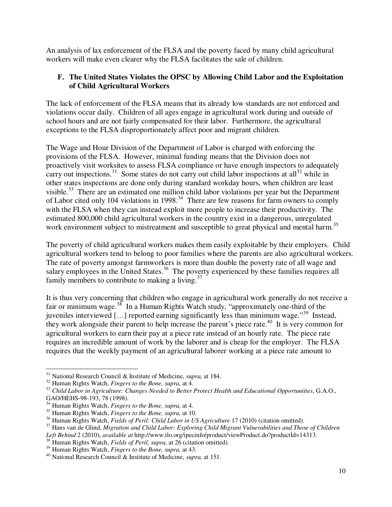An analysis of lax enforcement of the FLSA and the poverty faced by many child agricultural workers will make even clearer why the FLSA facilitates the sale of children.

# **F. The United States Violates the OPSC by Allowing Child Labor and the Exploitation of Child Agricultural Workers**

The lack of enforcement of the FLSA means that its already low standards are not enforced and violations occur daily. Children of all ages engage in agricultural work during and outside of school hours and are not fairly compensated for their labor. Furthermore, the agricultural exceptions to the FLSA disproportionately affect poor and migrant children.

The Wage and Hour Division of the Department of Labor is charged with enforcing the provisions of the FLSA. However, minimal funding means that the Division does not proactively visit worksites to assess FLSA compliance or have enough inspectors to adequately carry out inspections.<sup>31</sup> Some states do not carry out child labor inspections at all<sup>32</sup> while in other states inspections are done only during standard workday hours, when children are least visible.<sup>33</sup> There are an estimated one million child labor violations per year but the Department of Labor cited only 104 violations in 1998.<sup>34</sup> There are few reasons for farm owners to comply with the FLSA when they can instead exploit more people to increase their productivity. The estimated 800,000 child agricultural workers in the country exist in a dangerous, unregulated work environment subject to mistreatment and susceptible to great physical and mental harm.<sup>35</sup>

The poverty of child agricultural workers makes them easily exploitable by their employers. Child agricultural workers tend to belong to poor families where the parents are also agricultural workers. The rate of poverty amongst farmworkers is more than double the poverty rate of all wage and salary employees in the United States.<sup>36</sup> The poverty experienced by these families requires all family members to contribute to making a living.<sup>37</sup>

It is thus very concerning that children who engage in agricultural work generally do not receive a fair or minimum wage.<sup>38</sup> In a Human Rights Watch study, "approximately one-third of the juveniles interviewed […] reported earning significantly less than minimum wage."39 Instead, they work alongside their parent to help increase the parent's piece rate.<sup>40</sup> It is very common for agricultural workers to earn their pay at a piece rate instead of an hourly rate. The piece rate requires an incredible amount of work by the laborer and is cheap for the employer. The FLSA requires that the weekly payment of an agricultural laborer working at a piece rate amount to

<sup>&</sup>lt;sup>31</sup> National Research Council & Institute of Medicine, *supra*, at 184.

 $32$  Human Rights Watch, *Fingers to the Bone, supra,* at 4.<br> $33$  Child Labor in Agriculture: Changes Needed to Better Protect Health and Educational Opportunities, G.A.O., GAO/HEHS-98-193, 78 (1998).

<sup>34</sup> Human Rights Watch, *Fingers to the Bone, supra,* at 4.

<sup>&</sup>lt;sup>35</sup> Human Rights Watch, *Fingers to the Bone, supra*, at 10.<br><sup>36</sup> Human Rights Watch, *Fields of Peril: Child Labor in US Agriculture* 17 (2010) (citation omitted).

<sup>&</sup>lt;sup>37</sup> Hans van de Glind, Migration and Child Labor: Exploring Child Migrant Vulnerabilities and Those of Children *Left Behind* 2 (2010), *available at* http://www.ilo.org/ipecinfo/product/viewProduct.do?productId=14313.<br><sup>38</sup> Human Rights Watch, *Fields of Peril, supra*, at 26 (citation omitted).<br><sup>39</sup> Human Rights Watch, *Fingers to t* 

<sup>&</sup>lt;sup>40</sup> National Research Council & Institute of Medicine, *supra*, at 151.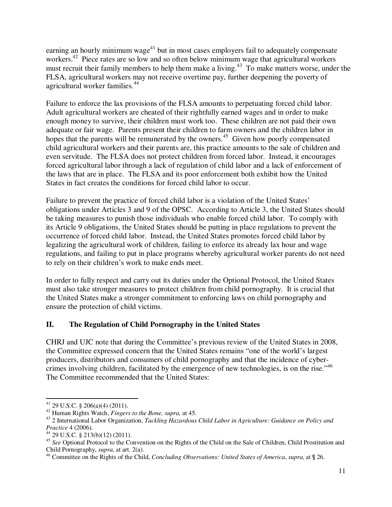earning an hourly minimum wage<sup>41</sup> but in most cases employers fail to adequately compensate workers.<sup>42</sup> Piece rates are so low and so often below minimum wage that agricultural workers must recruit their family members to help them make a living.<sup>43</sup> To make matters worse, under the FLSA, agricultural workers may not receive overtime pay, further deepening the poverty of agricultural worker families.<sup>44</sup>

Failure to enforce the lax provisions of the FLSA amounts to perpetuating forced child labor. Adult agricultural workers are cheated of their rightfully earned wages and in order to make enough money to survive, their children must work too. These children are not paid their own adequate or fair wage. Parents present their children to farm owners and the children labor in hopes that the parents will be remunerated by the owners.<sup>45</sup> Given how poorly compensated child agricultural workers and their parents are, this practice amounts to the sale of children and even servitude. The FLSA does not protect children from forced labor. Instead, it encourages forced agricultural labor through a lack of regulation of child labor and a lack of enforcement of the laws that are in place. The FLSA and its poor enforcement both exhibit how the United States in fact creates the conditions for forced child labor to occur.

Failure to prevent the practice of forced child labor is a violation of the United States' obligations under Articles 3 and 9 of the OPSC. According to Article 3, the United States should be taking measures to punish those individuals who enable forced child labor. To comply with its Article 9 obligations, the United States should be putting in place regulations to prevent the occurrence of forced child labor. Instead, the United States promotes forced child labor by legalizing the agricultural work of children, failing to enforce its already lax hour and wage regulations, and failing to put in place programs whereby agricultural worker parents do not need to rely on their children's work to make ends meet.

In order to fully respect and carry out its duties under the Optional Protocol, the United States must also take stronger measures to protect children from child pornography. It is crucial that the United States make a stronger commitment to enforcing laws on child pornography and ensure the protection of child victims.

# **II. The Regulation of Child Pornography in the United States**

CHRJ and UJC note that during the Committee's previous review of the United States in 2008, the Committee expressed concern that the United States remains "one of the world's largest producers, distributors and consumers of child pornography and that the incidence of cybercrimes involving children, facilitated by the emergence of new technologies, is on the rise."46 The Committee recommended that the United States:

 $\overline{\phantom{a}}$ <sup>41</sup> 29 U.S.C. § 206(a)(4) (2011).

<sup>42</sup> Human Rights Watch, *Fingers to the Bone, supra,* at 45. 43 2 International Labor Organization, *Tackling Hazardous Child Labor in Agriculture: Guidance on Policy and Practice* 4 (2006).<br><sup>44</sup> 29 U.S.C. § 213(b)(12) (2011).

<sup>&</sup>lt;sup>45</sup> See Optional Protocol to the Convention on the Rights of the Child on the Sale of Children, Child Prostitution and Child Pornography, *supra*, at art. 2(a).

<sup>46</sup> Committee on the Rights of the Child, *Concluding Observations: United States of America*, *supra,* at ¶ 26.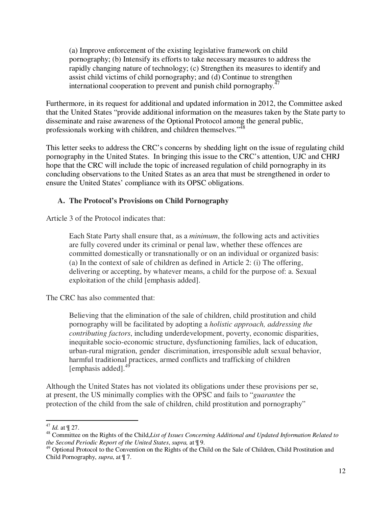(a) Improve enforcement of the existing legislative framework on child pornography; (b) Intensify its efforts to take necessary measures to address the rapidly changing nature of technology; (c) Strengthen its measures to identify and assist child victims of child pornography; and (d) Continue to strengthen international cooperation to prevent and punish child pornography. $47$ 

Furthermore, in its request for additional and updated information in 2012, the Committee asked that the United States "provide additional information on the measures taken by the State party to disseminate and raise awareness of the Optional Protocol among the general public, professionals working with children, and children themselves."<sup>48</sup>

This letter seeks to address the CRC's concerns by shedding light on the issue of regulating child pornography in the United States. In bringing this issue to the CRC's attention, UJC and CHRJ hope that the CRC will include the topic of increased regulation of child pornography in its concluding observations to the United States as an area that must be strengthened in order to ensure the United States' compliance with its OPSC obligations.

# **A. The Protocol's Provisions on Child Pornography**

Article 3 of the Protocol indicates that:

Each State Party shall ensure that, as a *minimum*, the following acts and activities are fully covered under its criminal or penal law, whether these offences are committed domestically or transnationally or on an individual or organized basis: (a) In the context of sale of children as defined in Article 2: (i) The offering, delivering or accepting, by whatever means, a child for the purpose of: a. Sexual exploitation of the child [emphasis added].

The CRC has also commented that:

Believing that the elimination of the sale of children, child prostitution and child pornography will be facilitated by adopting a *holistic approach, addressing the contributing factors*, including underdevelopment, poverty, economic disparities, inequitable socio-economic structure, dysfunctioning families, lack of education, urban-rural migration, gender discrimination, irresponsible adult sexual behavior, harmful traditional practices, armed conflicts and trafficking of children  $[$ emphasis added $]$ .<sup>49</sup>

Although the United States has not violated its obligations under these provisions per se, at present, the US minimally complies with the OPSC and fails to "*guarantee* the protection of the child from the sale of children, child prostitution and pornography"

 $47$  *Id.* at  $\P$  27.

<sup>&</sup>lt;sup>48</sup> Committee on the Rights of the Child,*List of Issues Concerning Additional and Updated Information Related to the Second Periodic Report of the United States*, *supra,* at ¶ 9.

<sup>&</sup>lt;sup>49</sup> Optional Protocol to the Convention on the Rights of the Child on the Sale of Children, Child Prostitution and Child Pornography, *supra*, at ¶ 7.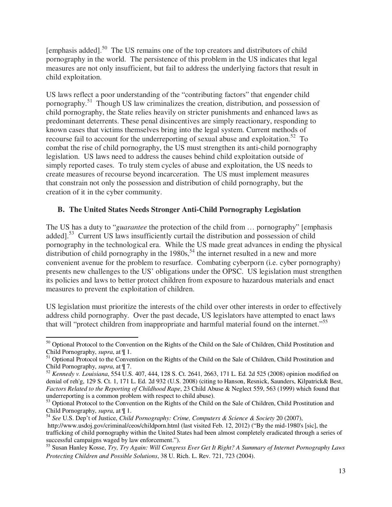[emphasis added].50 The US remains one of the top creators and distributors of child pornography in the world. The persistence of this problem in the US indicates that legal measures are not only insufficient, but fail to address the underlying factors that result in child exploitation.

US laws reflect a poor understanding of the "contributing factors" that engender child pornography.51 Though US law criminalizes the creation, distribution, and possession of child pornography, the State relies heavily on stricter punishments and enhanced laws as predominant deterrents. These penal disincentives are simply reactionary, responding to known cases that victims themselves bring into the legal system. Current methods of recourse fail to account for the underreporting of sexual abuse and exploitation.<sup>52</sup> To combat the rise of child pornography, the US must strengthen its anti-child pornography legislation. US laws need to address the causes behind child exploitation outside of simply reported cases. To truly stem cycles of abuse and exploitation, the US needs to create measures of recourse beyond incarceration. The US must implement measures that constrain not only the possession and distribution of child pornography, but the creation of it in the cyber community.

# **B. The United States Needs Stronger Anti-Child Pornography Legislation**

The US has a duty to "*guarantee* the protection of the child from … pornography" [emphasis added].<sup>53</sup> Current US laws insufficiently curtail the distribution and possession of child pornography in the technological era. While the US made great advances in ending the physical distribution of child pornography in the  $1980s$ ,  $54$  the internet resulted in a new and more convenient avenue for the problem to resurface. Combating cyberporn (i.e. cyber pornography) presents new challenges to the US' obligations under the OPSC. US legislation must strengthen its policies and laws to better protect children from exposure to hazardous materials and enact measures to prevent the exploitation of children.

US legislation must prioritize the interests of the child over other interests in order to effectively address child pornography. Over the past decade, US legislators have attempted to enact laws that will "protect children from inappropriate and harmful material found on the internet."55

<sup>54</sup> *See* U.S. Dep't of Justice, *Child Pornography: Crime, Computers & Science & Society* 20 (2007),

 $\overline{a}$ <sup>50</sup> Optional Protocol to the Convention on the Rights of the Child on the Sale of Children, Child Prostitution and Child Pornography, *supra*, at ¶ 1.

<sup>&</sup>lt;sup>51</sup> Optional Protocol to the Convention on the Rights of the Child on the Sale of Children, Child Prostitution and Child Pornography, *supra*, at ¶ 7.

<sup>52</sup> *Kennedy v. Louisiana*, 554 U.S. 407, 444, 128 S. Ct. 2641, 2663, 171 L. Ed. 2d 525 (2008) opinion modified on denial of reh'g, 129 S. Ct. 1, 171 L. Ed. 2d 932 (U.S. 2008) (citing to Hanson, Resnick, Saunders, Kilpatrick& Best, *Factors Related to the Reporting of Childhood Rape*, 23 Child Abuse & Neglect 559, 563 (1999) which found that underreporting is a common problem with respect to child abuse).

<sup>&</sup>lt;sup>53</sup> Optional Protocol to the Convention on the Rights of the Child on the Sale of Children, Child Prostitution and Child Pornography, *supra*, at ¶ 1.

http://www.usdoj.gov/criminal/ceos/childporn.html (last visited Feb. 12, 2012) ("By the mid-1980's [sic], the trafficking of child pornography within the United States had been almost completely eradicated through a series of successful campaigns waged by law enforcement.").

<sup>55</sup> Susan Hanley Kosse, *Try, Try Again: Will Congress Ever Get It Right? A Summary of Internet Pornography Laws Protecting Children and Possible Solutions*, 38 U. Rich. L. Rev. 721, 723 (2004).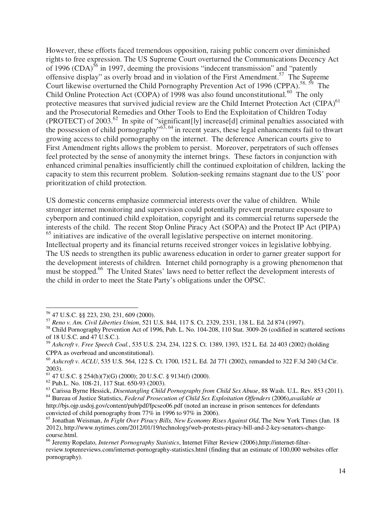However, these efforts faced tremendous opposition, raising public concern over diminished rights to free expression. The US Supreme Court overturned the Communications Decency Act of 1996  $(CDA)$ <sup>56</sup> in 1997, deeming the provisions "indecent transmission" and "patently offensive display" as overly broad and in violation of the First Amendment.57 The Supreme Court likewise overturned the Child Pornography Prevention Act of 1996 (CPPA).<sup>58, 59</sup> The Child Online Protection Act (COPA) of 1998 was also found unconstitutional.<sup>60</sup> The only protective measures that survived judicial review are the Child Internet Protection Act (CIPA)<sup>61</sup> and the Prosecutorial Remedies and Other Tools to End the Exploitation of Children Today (PROTECT) of 2003.<sup>62</sup> In spite of "significant[ly] increase[d] criminal penalties associated with the possession of child pornography"<sup>63, 64</sup> in recent years, these legal enhancements fail to thwart growing access to child pornography on the internet. The deference American courts give to First Amendment rights allows the problem to persist. Moreover, perpetrators of such offenses feel protected by the sense of anonymity the internet brings. These factors in conjunction with enhanced criminal penalties insufficiently chill the continued exploitation of children, lacking the capacity to stem this recurrent problem. Solution-seeking remains stagnant due to the US' poor prioritization of child protection.

US domestic concerns emphasize commercial interests over the value of children. While stronger internet monitoring and supervision could potentially prevent premature exposure to cyberporn and continued child exploitation, copyright and its commercial returns supersede the interests of the child. The recent Stop Online Piracy Act (SOPA) and the Protect IP Act (PIPA) <sup>65</sup> initiatives are indicative of the overall legislative perspective on internet monitoring. Intellectual property and its financial returns received stronger voices in legislative lobbying. The US needs to strengthen its public awareness education in order to garner greater support for the development interests of children. Internet child pornography is a growing phenomenon that must be stopped.<sup>66</sup> The United States' laws need to better reflect the development interests of the child in order to meet the State Party's obligations under the OPSC.

 $\overline{a}$ 56 47 U.S.C. §§ 223, 230, 231, 609 (2000).

<sup>57</sup> *Reno v. Am. Civil Liberties Union*, 521 U.S. 844, 117 S. Ct. 2329, 2331, 138 L. Ed. 2d 874 (1997).

<sup>&</sup>lt;sup>58</sup> Child Pornography Prevention Act of 1996, Pub. L. No. 104-208, 110 Stat. 3009-26 (codified in scattered sections of 18 U.S.C. and 47 U.S.C.).

<sup>59</sup> *Ashcroft v. Free Speech Coal.*, 535 U.S. 234, 234, 122 S. Ct. 1389, 1393, 152 L. Ed. 2d 403 (2002) (holding CPPA as overbroad and unconstitutional).

<sup>60</sup> *Ashcroft v. ACLU*, 535 U.S. 564, 122 S. Ct. 1700, 152 L. Ed. 2d 771 (2002), remanded to 322 F.3d 240 (3d Cir. 2003).

 $^{61}$  47 U.S.C. § 254(h)(7)(G) (2000); 20 U.S.C. § 9134(f) (2000).

<sup>62</sup> Pub.L. No. 108-21, 117 Stat. 650-93 (2003).

<sup>63</sup> Carissa Byrne Hessick, *Disentangling Child Pornography from Child Sex Abuse*, 88 Wash. U.L. Rev. 853 (2011).

<sup>64</sup> Bureau of Justice Statistics, *Federal Prosecution of Child Sex Exploitation Offenders* (2006),*available at* http://bjs.ojp.usdoj.gov/content/pub/pdf/fpcseo06.pdf (noted an increase in prison sentences for defendants convicted of child pornography from 77% in 1996 to 97% in 2006).

<sup>65</sup> Jonathan Weisman, *In Fight Over Piracy Bills, New Economy Rises Against Old*, The New York Times (Jan. 18 2012), http://www.nytimes.com/2012/01/19/technology/web-protests-piracy-bill-and-2-key-senators-changecourse.html.

<sup>66</sup> Jeremy Ropelato, *Internet Pornography Statistics*, Internet Filter Review (2006),http://internet-filterreview.toptenreviews.com/internet-pornography-statistics.html (finding that an estimate of 100,000 websites offer pornography).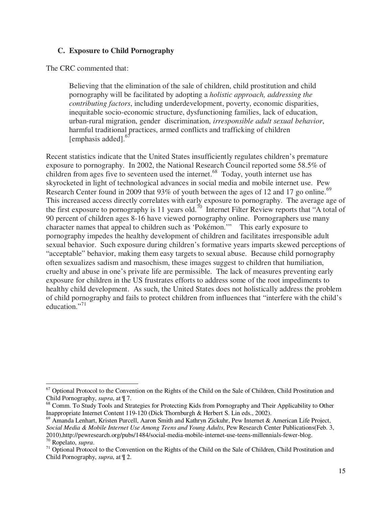### **C. Exposure to Child Pornography**

The CRC commented that:

Believing that the elimination of the sale of children, child prostitution and child pornography will be facilitated by adopting a *holistic approach, addressing the contributing factors*, including underdevelopment, poverty, economic disparities, inequitable socio-economic structure, dysfunctioning families, lack of education, urban-rural migration, gender discrimination, *irresponsible adult sexual behavior*, harmful traditional practices, armed conflicts and trafficking of children  $[emphasis added].$ <sup>67</sup>

Recent statistics indicate that the United States insufficiently regulates children's premature exposure to pornography. In 2002, the National Research Council reported some 58.5% of children from ages five to seventeen used the internet.<sup>68</sup> Today, youth internet use has skyrocketed in light of technological advances in social media and mobile internet use. Pew Research Center found in 2009 that 93% of youth between the ages of 12 and 17 go online.<sup>69</sup> This increased access directly correlates with early exposure to pornography. The average age of the first exposure to pornography is 11 years old.<sup>70</sup> Internet Filter Review reports that "A total of 90 percent of children ages 8-16 have viewed pornography online. Pornographers use many character names that appeal to children such as 'Pokémon.'" This early exposure to pornography impedes the healthy development of children and facilitates irresponsible adult sexual behavior. Such exposure during children's formative years imparts skewed perceptions of "acceptable" behavior, making them easy targets to sexual abuse. Because child pornography often sexualizes sadism and masochism, these images suggest to children that humiliation, cruelty and abuse in one's private life are permissible. The lack of measures preventing early exposure for children in the US frustrates efforts to address some of the root impediments to healthy child development. As such, the United States does not holistically address the problem of child pornography and fails to protect children from influences that "interfere with the child's education."<sup>71</sup>

<sup>&</sup>lt;sup>67</sup> Optional Protocol to the Convention on the Rights of the Child on the Sale of Children, Child Prostitution and Child Pornography, *supra*, at ¶ 7.

<sup>&</sup>lt;sup>68</sup> Comm. To Study Tools and Strategies for Protecting Kids from Pornography and Their Applicability to Other Inappropriate Internet Content 119-120 (Dick Thornburgh & Herbert S. Lin eds., 2002).

<sup>69</sup> Amanda Lenhart, Kristen Purcell, Aaron Smith and Kathryn Zickuhr, Pew Internet & American Life Project, *Social Media & Mobile Internet Use Among Teens and Young Adults*, Pew Research Center Publications(Feb. 3, 2010).http://pewresearch.org/pubs/1484/social-media-mobile-internet-use-teens-millennials-fewer-blog.

<sup>&</sup>lt;sup>70</sup> Ropelato, *supra*.<br><sup>71</sup> Optional Protocol to the Convention on the Rights of the Child on the Sale of Children, Child Prostitution and Child Pornography, *supra*, at ¶ 2.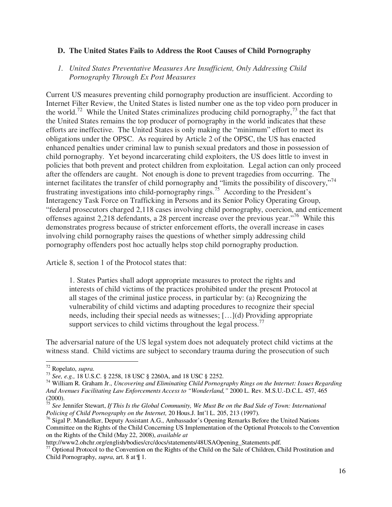#### **D. The United States Fails to Address the Root Causes of Child Pornography**

#### *1. United States Preventative Measures Are Insufficient, Only Addressing Child Pornography Through Ex Post Measures*

Current US measures preventing child pornography production are insufficient. According to Internet Filter Review, the United States is listed number one as the top video porn producer in the world.<sup>72</sup> While the United States criminalizes producing child pornography,<sup>73</sup> the fact that the United States remains the top producer of pornography in the world indicates that these efforts are ineffective. The United States is only making the "minimum" effort to meet its obligations under the OPSC. As required by Article 2 of the OPSC, the US has enacted enhanced penalties under criminal law to punish sexual predators and those in possession of child pornography. Yet beyond incarcerating child exploiters, the US does little to invest in policies that both prevent and protect children from exploitation. Legal action can only proceed after the offenders are caught. Not enough is done to prevent tragedies from occurring. The internet facilitates the transfer of child pornography and "limits the possibility of discovery,"<sup>74</sup> frustrating investigations into child-pornography rings.75 According to the President's Interagency Task Force on Trafficking in Persons and its Senior Policy Operating Group, "federal prosecutors charged 2,118 cases involving child pornography, coercion, and enticement offenses against 2,218 defendants, a 28 percent increase over the previous year."<sup>76</sup> While this demonstrates progress because of stricter enforcement efforts, the overall increase in cases involving child pornography raises the questions of whether simply addressing child pornography offenders post hoc actually helps stop child pornography production.

Article 8, section 1 of the Protocol states that:

1. States Parties shall adopt appropriate measures to protect the rights and interests of child victims of the practices prohibited under the present Protocol at all stages of the criminal justice process, in particular by: (a) Recognizing the vulnerability of child victims and adapting procedures to recognize their special needs, including their special needs as witnesses; […](d) Providing appropriate support services to child victims throughout the legal process.<sup>77</sup>

The adversarial nature of the US legal system does not adequately protect child victims at the witness stand. Child victims are subject to secondary trauma during the prosecution of such

 $72$  Ropelato, *supra*.

<sup>&</sup>lt;sup>73</sup> See, e.g., 18 U.S.C. § 2258, 18 USC § 2260A, and 18 USC § 2252.<br><sup>74</sup> William R. Graham Jr., *Uncovering and Eliminating Child Pornography Rings on the Internet: Issues Regarding And Avenues Facilitating Law Enforcements Access to "Wonderland,"* 2000 L. Rev. M.S.U.-D.C.L. 457, 465 (2000).

<sup>75</sup> *See* Jennifer Stewart, *If This Is the Global Community, We Must Be on the Bad Side of Town: International Policing of Child Pornography on the Internet,* 20 Hous.J. Int'l L. 205, 213 (1997).

<sup>&</sup>lt;sup>76</sup> Sigal P. Mandelker, Deputy Assistant A.G., Ambassador's Opening Remarks Before the United Nations Committee on the Rights of the Child Concerning US Implementation of the Optional Protocols to the Convention on the Rights of the Child (May 22, 2008), *available at* 

 $\frac{77}{7}$  Optional Protocol to the Convention on the Rights of the Child on the Sale of Children, Child Prostitution and Child Pornography, *supra*, art. 8 at ¶ 1.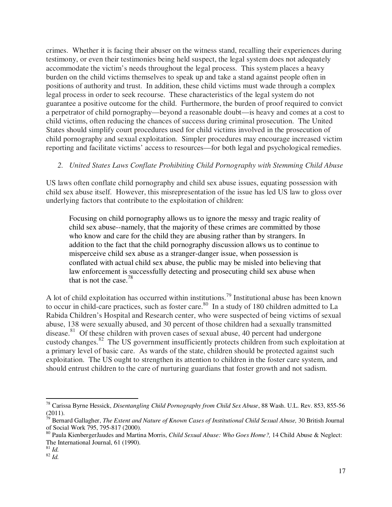crimes. Whether it is facing their abuser on the witness stand, recalling their experiences during testimony, or even their testimonies being held suspect, the legal system does not adequately accommodate the victim's needs throughout the legal process. This system places a heavy burden on the child victims themselves to speak up and take a stand against people often in positions of authority and trust. In addition, these child victims must wade through a complex legal process in order to seek recourse. These characteristics of the legal system do not guarantee a positive outcome for the child. Furthermore, the burden of proof required to convict a perpetrator of child pornography—beyond a reasonable doubt—is heavy and comes at a cost to child victims, often reducing the chances of success during criminal prosecution. The United States should simplify court procedures used for child victims involved in the prosecution of child pornography and sexual exploitation. Simpler procedures may encourage increased victim reporting and facilitate victims' access to resources—for both legal and psychological remedies.

# *2. United States Laws Conflate Prohibiting Child Pornography with Stemming Child Abuse*

US laws often conflate child pornography and child sex abuse issues, equating possession with child sex abuse itself. However, this misrepresentation of the issue has led US law to gloss over underlying factors that contribute to the exploitation of children:

Focusing on child pornography allows us to ignore the messy and tragic reality of child sex abuse--namely, that the majority of these crimes are committed by those who know and care for the child they are abusing rather than by strangers. In addition to the fact that the child pornography discussion allows us to continue to misperceive child sex abuse as a stranger-danger issue, when possession is conflated with actual child sex abuse, the public may be misled into believing that law enforcement is successfully detecting and prosecuting child sex abuse when that is not the case.<sup>78</sup>

A lot of child exploitation has occurred within institutions.79 Institutional abuse has been known to occur in child-care practices, such as foster care.<sup>80</sup> In a study of 180 children admitted to La Rabida Children's Hospital and Research center, who were suspected of being victims of sexual abuse, 138 were sexually abused, and 30 percent of those children had a sexually transmitted disease.<sup>81</sup> Of these children with proven cases of sexual abuse, 40 percent had undergone custody changes.82 The US government insufficiently protects children from such exploitation at a primary level of basic care. As wards of the state, children should be protected against such exploitation. The US ought to strengthen its attention to children in the foster care system, and should entrust children to the care of nurturing guardians that foster growth and not sadism.

 $\overline{\phantom{a}}$ 78 Carissa Byrne Hessick, *Disentangling Child Pornography from Child Sex Abuse*, 88 Wash. U.L. Rev. 853, 855-56 (2011).

<sup>79</sup> Bernard Gallagher, *The Extent and Nature of Known Cases of Institutional Child Sexual Abuse,* 30 British Journal of Social Work 795, 795-817 (2000).

<sup>80</sup> Paula KienbergerJaudes and Martina Morris, *Child Sexual Abuse: Who Goes Home?,* 14 Child Abuse & Neglect: The International Journal, 61 (1990).

<sup>81</sup> *Id.*

<sup>82</sup> *Id.*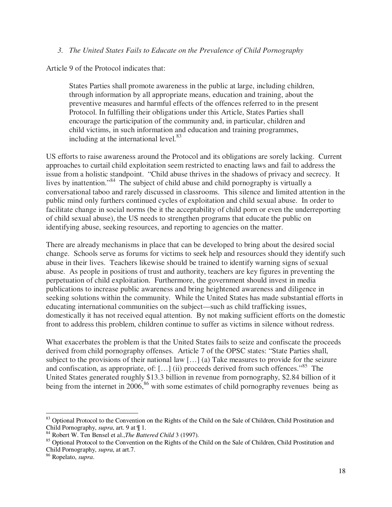#### *3. The United States Fails to Educate on the Prevalence of Child Pornography*

Article 9 of the Protocol indicates that:

States Parties shall promote awareness in the public at large, including children, through information by all appropriate means, education and training, about the preventive measures and harmful effects of the offences referred to in the present Protocol. In fulfilling their obligations under this Article, States Parties shall encourage the participation of the community and, in particular, children and child victims, in such information and education and training programmes, including at the international level.<sup>83</sup>

US efforts to raise awareness around the Protocol and its obligations are sorely lacking. Current approaches to curtail child exploitation seem restricted to enacting laws and fail to address the issue from a holistic standpoint. "Child abuse thrives in the shadows of privacy and secrecy. It lives by inattention."84 The subject of child abuse and child pornography is virtually a conversational taboo and rarely discussed in classrooms. This silence and limited attention in the public mind only furthers continued cycles of exploitation and child sexual abuse. In order to facilitate change in social norms (be it the acceptability of child porn or even the underreporting of child sexual abuse), the US needs to strengthen programs that educate the public on identifying abuse, seeking resources, and reporting to agencies on the matter.

There are already mechanisms in place that can be developed to bring about the desired social change. Schools serve as forums for victims to seek help and resources should they identify such abuse in their lives. Teachers likewise should be trained to identify warning signs of sexual abuse. As people in positions of trust and authority, teachers are key figures in preventing the perpetuation of child exploitation. Furthermore, the government should invest in media publications to increase public awareness and bring heightened awareness and diligence in seeking solutions within the community. While the United States has made substantial efforts in educating international communities on the subject—such as child trafficking issues, domestically it has not received equal attention. By not making sufficient efforts on the domestic front to address this problem, children continue to suffer as victims in silence without redress.

What exacerbates the problem is that the United States fails to seize and confiscate the proceeds derived from child pornography offenses. Article 7 of the OPSC states: "State Parties shall, subject to the provisions of their national law […] (a) Take measures to provide for the seizure and confiscation, as appropriate, of:  $[...]$  (ii) proceeds derived from such offences."<sup>85</sup> The United States generated roughly \$13.3 billion in revenue from pornography, \$2.84 billion of it being from the internet in  $2006$ ,  $86$  with some estimates of child pornography revenues being as

<sup>&</sup>lt;sup>83</sup> Optional Protocol to the Convention on the Rights of the Child on the Sale of Children, Child Prostitution and Child Pornography, *supra*, art. 9 at  $\P$  1.<br><sup>84</sup> Robert W. Ten Bensel et al., *The Battered Child* 3 (1997).

<sup>&</sup>lt;sup>85</sup> Optional Protocol to the Convention on the Rights of the Child on the Sale of Children, Child Prostitution and Child Pornography, *supra*, at art.7.

<sup>86</sup> Ropelato, *supra*.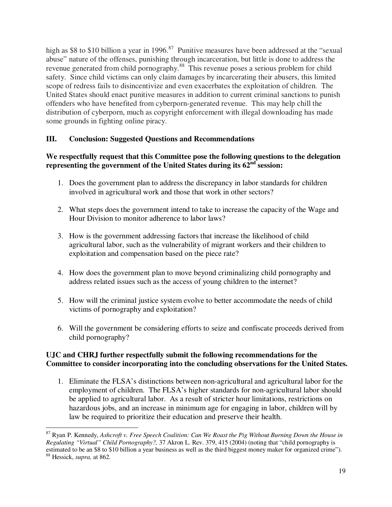high as \$8 to \$10 billion a year in 1996.<sup>87</sup> Punitive measures have been addressed at the "sexual" abuse" nature of the offenses, punishing through incarceration, but little is done to address the revenue generated from child pornography.88 This revenue poses a serious problem for child safety. Since child victims can only claim damages by incarcerating their abusers, this limited scope of redress fails to disincentivize and even exacerbates the exploitation of children. The United States should enact punitive measures in addition to current criminal sanctions to punish offenders who have benefited from cyberporn-generated revenue. This may help chill the distribution of cyberporn, much as copyright enforcement with illegal downloading has made some grounds in fighting online piracy.

# **III. Conclusion: Suggested Questions and Recommendations**

### **We respectfully request that this Committee pose the following questions to the delegation representing the government of the United States during its**  $62^{nd}$  **session:**

- 1. Does the government plan to address the discrepancy in labor standards for children involved in agricultural work and those that work in other sectors?
- 2. What steps does the government intend to take to increase the capacity of the Wage and Hour Division to monitor adherence to labor laws?
- 3. How is the government addressing factors that increase the likelihood of child agricultural labor, such as the vulnerability of migrant workers and their children to exploitation and compensation based on the piece rate?
- 4. How does the government plan to move beyond criminalizing child pornography and address related issues such as the access of young children to the internet?
- 5. How will the criminal justice system evolve to better accommodate the needs of child victims of pornography and exploitation?
- 6. Will the government be considering efforts to seize and confiscate proceeds derived from child pornography?

### **UJC and CHRJ further respectfully submit the following recommendations for the Committee to consider incorporating into the concluding observations for the United States.**

1. Eliminate the FLSA's distinctions between non-agricultural and agricultural labor for the employment of children. The FLSA's higher standards for non-agricultural labor should be applied to agricultural labor. As a result of stricter hour limitations, restrictions on hazardous jobs, and an increase in minimum age for engaging in labor, children will by law be required to prioritize their education and preserve their health.

 $\overline{a}$ 87 Ryan P. Kennedy, *Ashcroft v. Free Speech Coalition: Can We Roast the Pig Without Burning Down the House in Regulating "Virtual" Child Pornography?,* 37 Akron L. Rev. 379, 415 (2004) (noting that "child pornography is estimated to be an \$8 to \$10 billion a year business as well as the third biggest money maker for organized crime"). 88 Hessick, *supra,* at 862.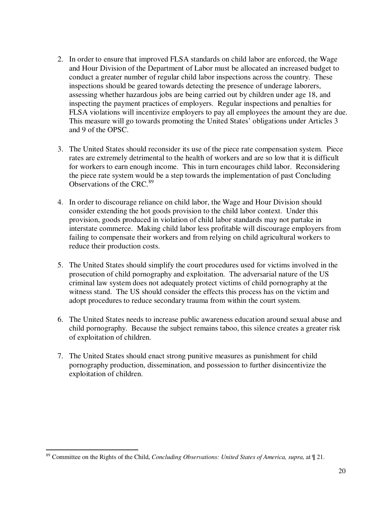- 2. In order to ensure that improved FLSA standards on child labor are enforced, the Wage and Hour Division of the Department of Labor must be allocated an increased budget to conduct a greater number of regular child labor inspections across the country. These inspections should be geared towards detecting the presence of underage laborers, assessing whether hazardous jobs are being carried out by children under age 18, and inspecting the payment practices of employers. Regular inspections and penalties for FLSA violations will incentivize employers to pay all employees the amount they are due. This measure will go towards promoting the United States' obligations under Articles 3 and 9 of the OPSC.
- 3. The United States should reconsider its use of the piece rate compensation system. Piece rates are extremely detrimental to the health of workers and are so low that it is difficult for workers to earn enough income. This in turn encourages child labor. Reconsidering the piece rate system would be a step towards the implementation of past Concluding Observations of the CRC.<sup>89</sup>
- 4. In order to discourage reliance on child labor, the Wage and Hour Division should consider extending the hot goods provision to the child labor context. Under this provision, goods produced in violation of child labor standards may not partake in interstate commerce. Making child labor less profitable will discourage employers from failing to compensate their workers and from relying on child agricultural workers to reduce their production costs.
- 5. The United States should simplify the court procedures used for victims involved in the prosecution of child pornography and exploitation. The adversarial nature of the US criminal law system does not adequately protect victims of child pornography at the witness stand. The US should consider the effects this process has on the victim and adopt procedures to reduce secondary trauma from within the court system.
- 6. The United States needs to increase public awareness education around sexual abuse and child pornography. Because the subject remains taboo, this silence creates a greater risk of exploitation of children.
- 7. The United States should enact strong punitive measures as punishment for child pornography production, dissemination, and possession to further disincentivize the exploitation of children.

 $\overline{a}$ 89 Committee on the Rights of the Child, *Concluding Observations: United States of America, supra,* at ¶ 21.